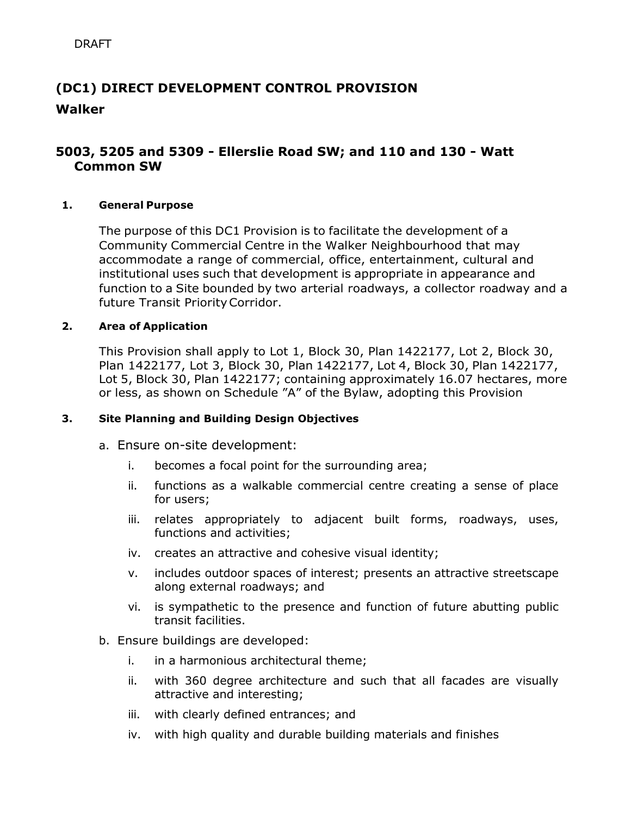# **(DC1) DIRECT DEVELOPMENT CONTROL PROVISION Walker**

## **5003, 5205 and 5309 - Ellerslie Road SW; and 110 and 130 - Watt Common SW**

#### **1. General Purpose**

The purpose of this DC1 Provision is to facilitate the development of a Community Commercial Centre in the Walker Neighbourhood that may accommodate a range of commercial, office, entertainment, cultural and institutional uses such that development is appropriate in appearance and function to a Site bounded by two arterial roadways, a collector roadway and a future Transit PriorityCorridor.

#### **2. Area of Application**

This Provision shall apply to Lot 1, Block 30, Plan 1422177, Lot 2, Block 30, Plan 1422177, Lot 3, Block 30, Plan 1422177, Lot 4, Block 30, Plan 1422177, Lot 5, Block 30, Plan 1422177; containing approximately 16.07 hectares, more or less, as shown on Schedule "A" of the Bylaw, adopting this Provision

#### **3. Site Planning and Building Design Objectives**

- a. Ensure on-site development:
	- i. becomes a focal point for the surrounding area;
	- ii. functions as a walkable commercial centre creating a sense of place for users;
	- iii. relates appropriately to adjacent built forms, roadways, uses, functions and activities;
	- iv. creates an attractive and cohesive visual identity;
	- v. includes outdoor spaces of interest; presents an attractive streetscape along external roadways; and
	- vi. is sympathetic to the presence and function of future abutting public transit facilities.
- b. Ensure buildings are developed:
	- i. in a harmonious architectural theme;
	- ii. with 360 degree architecture and such that all facades are visually attractive and interesting;
	- iii. with clearly defined entrances; and
	- iv. with high quality and durable building materials and finishes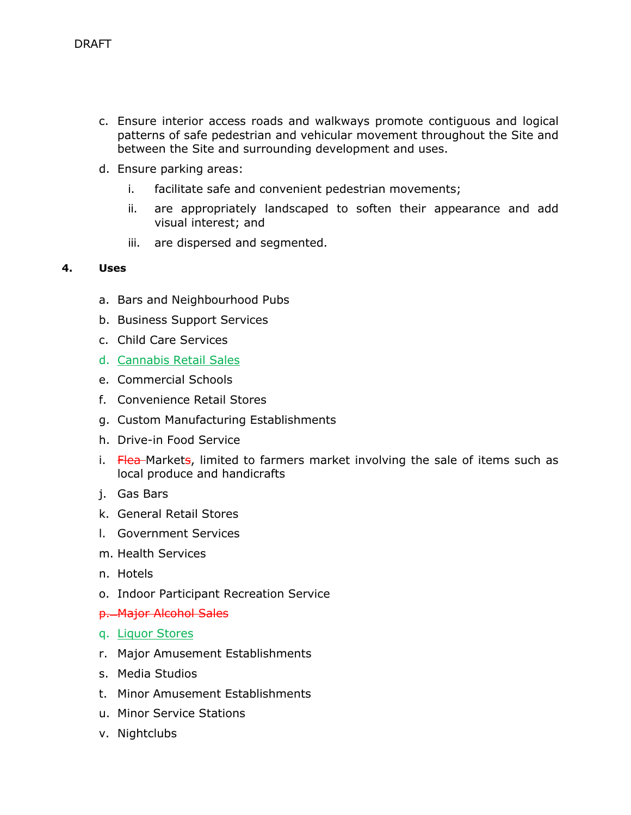- c. Ensure interior access roads and walkways promote contiguous and logical patterns of safe pedestrian and vehicular movement throughout the Site and between the Site and surrounding development and uses.
- d. Ensure parking areas:
	- i. facilitate safe and convenient pedestrian movements;
	- ii. are appropriately landscaped to soften their appearance and add visual interest; and
	- iii. are dispersed and segmented.

#### **4. Uses**

- a. Bars and Neighbourhood Pubs
- b. Business Support Services
- c. Child Care Services
- d. Cannabis Retail Sales
- e. Commercial Schools
- f. Convenience Retail Stores
- g. Custom Manufacturing Establishments
- h. Drive-in Food Service
- i. Flea Markets, limited to farmers market involving the sale of items such as local produce and handicrafts
- j. Gas Bars
- k. General Retail Stores
- l. Government Services
- m. Health Services
- n. Hotels
- o. Indoor Participant Recreation Service
- p. Major Alcohol Sales
- q. Liquor Stores
- r. Major Amusement Establishments
- s. Media Studios
- t. Minor Amusement Establishments
- u. Minor Service Stations
- v. Nightclubs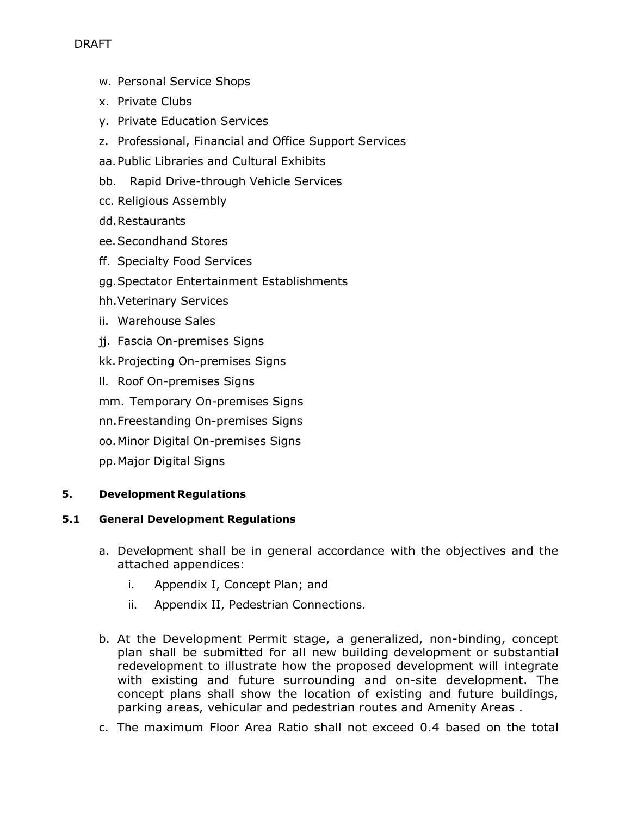- w. Personal Service Shops
- x. Private Clubs
- y. Private Education Services
- z. Professional, Financial and Office Support Services
- aa.Public Libraries and Cultural Exhibits
- bb. Rapid Drive-through Vehicle Services
- cc. Religious Assembly
- dd.Restaurants
- ee.Secondhand Stores
- ff. Specialty Food Services
- gg.Spectator Entertainment Establishments
- hh.Veterinary Services
- ii. Warehouse Sales
- jj. Fascia On-premises Signs
- kk.Projecting On-premises Signs
- ll. Roof On-premises Signs
- mm. Temporary On-premises Signs
- nn.Freestanding On-premises Signs
- oo.Minor Digital On-premises Signs
- pp.Major Digital Signs

### **5. Development Regulations**

#### **5.1 General Development Regulations**

- a. Development shall be in general accordance with the objectives and the attached appendices:
	- i. Appendix I, Concept Plan; and
	- ii. Appendix II, Pedestrian Connections.
- b. At the Development Permit stage, a generalized, non-binding, concept plan shall be submitted for all new building development or substantial redevelopment to illustrate how the proposed development will integrate with existing and future surrounding and on-site development. The concept plans shall show the location of existing and future buildings, parking areas, vehicular and pedestrian routes and Amenity Areas .
- c. The maximum Floor Area Ratio shall not exceed 0.4 based on the total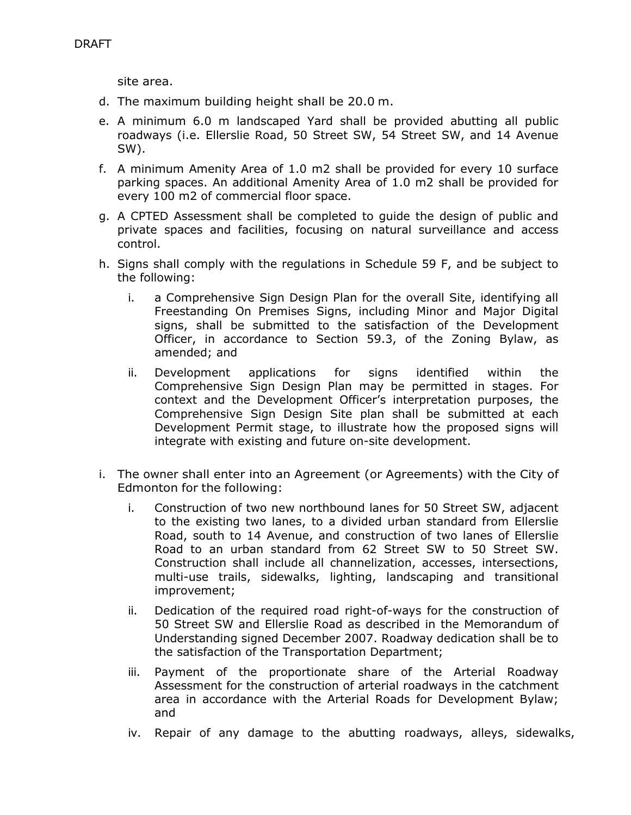site area.

- d. The maximum building height shall be 20.0 m.
- e. A minimum 6.0 m landscaped Yard shall be provided abutting all public roadways (i.e. Ellerslie Road, 50 Street SW, 54 Street SW, and 14 Avenue SW).
- f. A minimum Amenity Area of 1.0 m2 shall be provided for every 10 surface parking spaces. An additional Amenity Area of 1.0 m2 shall be provided for every 100 m2 of commercial floor space.
- g. A CPTED Assessment shall be completed to guide the design of public and private spaces and facilities, focusing on natural surveillance and access control.
- h. Signs shall comply with the regulations in Schedule 59 F, and be subject to the following:
	- i. a Comprehensive Sign Design Plan for the overall Site, identifying all Freestanding On Premises Signs, including Minor and Major Digital signs, shall be submitted to the satisfaction of the Development Officer, in accordance to Section 59.3, of the Zoning Bylaw, as amended; and
	- ii. Development applications for signs identified within the Comprehensive Sign Design Plan may be permitted in stages. For context and the Development Officer's interpretation purposes, the Comprehensive Sign Design Site plan shall be submitted at each Development Permit stage, to illustrate how the proposed signs will integrate with existing and future on-site development.
- i. The owner shall enter into an Agreement (or Agreements) with the City of Edmonton for the following:
	- i. Construction of two new northbound lanes for 50 Street SW, adjacent to the existing two lanes, to a divided urban standard from Ellerslie Road, south to 14 Avenue, and construction of two lanes of Ellerslie Road to an urban standard from 62 Street SW to 50 Street SW. Construction shall include all channelization, accesses, intersections, multi-use trails, sidewalks, lighting, landscaping and transitional improvement;
	- ii. Dedication of the required road right-of-ways for the construction of 50 Street SW and Ellerslie Road as described in the Memorandum of Understanding signed December 2007. Roadway dedication shall be to the satisfaction of the Transportation Department;
	- iii. Payment of the proportionate share of the Arterial Roadway Assessment for the construction of arterial roadways in the catchment area in accordance with the Arterial Roads for Development Bylaw; and
	- iv. Repair of any damage to the abutting roadways, alleys, sidewalks,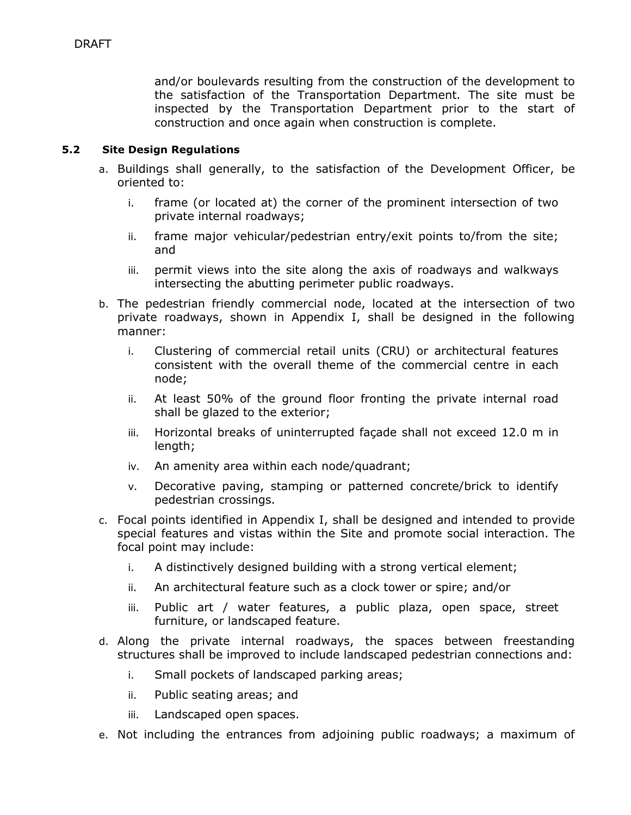and/or boulevards resulting from the construction of the development to the satisfaction of the Transportation Department. The site must be inspected by the Transportation Department prior to the start of construction and once again when construction is complete.

#### **5.2 Site Design Regulations**

- a. Buildings shall generally, to the satisfaction of the Development Officer, be oriented to:
	- i. frame (or located at) the corner of the prominent intersection of two private internal roadways;
	- ii. frame major vehicular/pedestrian entry/exit points to/from the site; and
	- iii. permit views into the site along the axis of roadways and walkways intersecting the abutting perimeter public roadways.
- b. The pedestrian friendly commercial node, located at the intersection of two private roadways, shown in Appendix I, shall be designed in the following manner:
	- i. Clustering of commercial retail units (CRU) or architectural features consistent with the overall theme of the commercial centre in each node;
	- ii. At least 50% of the ground floor fronting the private internal road shall be glazed to the exterior;
	- iii. Horizontal breaks of uninterrupted façade shall not exceed 12.0 m in length;
	- iv. An amenity area within each node/quadrant;
	- v. Decorative paving, stamping or patterned concrete/brick to identify pedestrian crossings.
- c. Focal points identified in Appendix I, shall be designed and intended to provide special features and vistas within the Site and promote social interaction. The focal point may include:
	- i. A distinctively designed building with a strong vertical element;
	- ii. An architectural feature such as a clock tower or spire; and/or
	- iii. Public art / water features, a public plaza, open space, street furniture, or landscaped feature.
- d. Along the private internal roadways, the spaces between freestanding structures shall be improved to include landscaped pedestrian connections and:
	- i. Small pockets of landscaped parking areas;
	- ii. Public seating areas; and
	- iii. Landscaped open spaces.
- e. Not including the entrances from adjoining public roadways; a maximum of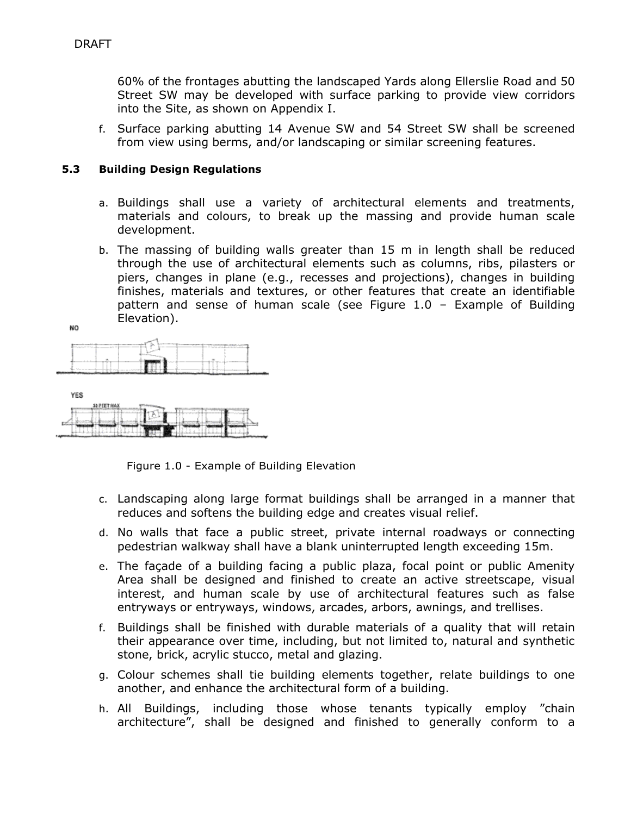60% of the frontages abutting the landscaped Yards along Ellerslie Road and 50 Street SW may be developed with surface parking to provide view corridors into the Site, as shown on Appendix I.

f. Surface parking abutting 14 Avenue SW and 54 Street SW shall be screened from view using berms, and/or landscaping or similar screening features.

#### **5.3 Building Design Regulations**

- a. Buildings shall use a variety of architectural elements and treatments, materials and colours, to break up the massing and provide human scale development.
- b. The massing of building walls greater than 15 m in length shall be reduced through the use of architectural elements such as columns, ribs, pilasters or piers, changes in plane (e.g., recesses and projections), changes in building finishes, materials and textures, or other features that create an identifiable pattern and sense of human scale (see Figure 1.0 – Example of Building Elevation).

NO.

|  | --- |  |  |
|--|-----|--|--|
|  |     |  |  |
|  |     |  |  |



Figure 1.0 - Example of Building Elevation

ц

- c. Landscaping along large format buildings shall be arranged in a manner that reduces and softens the building edge and creates visual relief.
- d. No walls that face a public street, private internal roadways or connecting pedestrian walkway shall have a blank uninterrupted length exceeding 15m.
- e. The façade of a building facing a public plaza, focal point or public Amenity Area shall be designed and finished to create an active streetscape, visual interest, and human scale by use of architectural features such as false entryways or entryways, windows, arcades, arbors, awnings, and trellises.
- f. Buildings shall be finished with durable materials of a quality that will retain their appearance over time, including, but not limited to, natural and synthetic stone, brick, acrylic stucco, metal and glazing.
- g. Colour schemes shall tie building elements together, relate buildings to one another, and enhance the architectural form of a building.
- h. All Buildings, including those whose tenants typically employ "chain architecture", shall be designed and finished to generally conform to a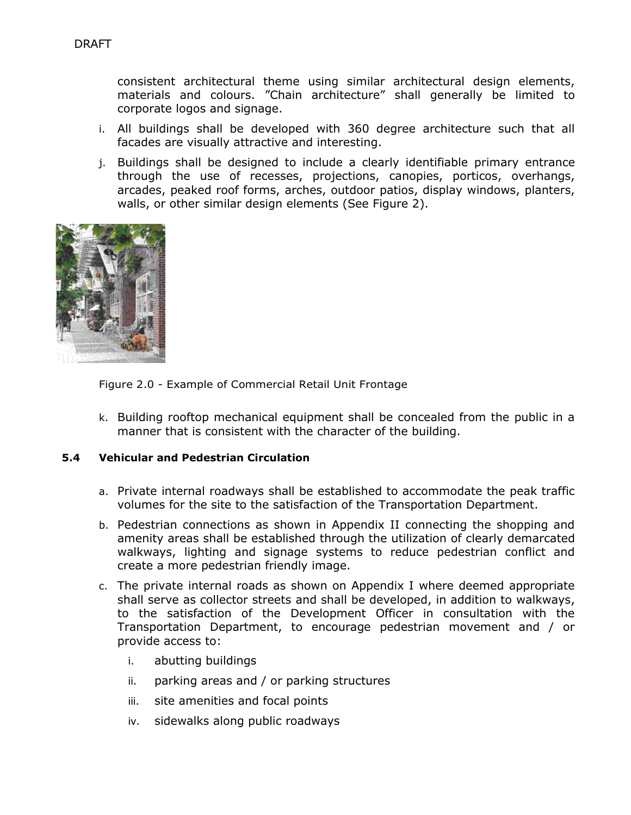consistent architectural theme using similar architectural design elements, materials and colours. "Chain architecture" shall generally be limited to corporate logos and signage.

- i. All buildings shall be developed with 360 degree architecture such that all facades are visually attractive and interesting.
- j. Buildings shall be designed to include a clearly identifiable primary entrance through the use of recesses, projections, canopies, porticos, overhangs, arcades, peaked roof forms, arches, outdoor patios, display windows, planters, walls, or other similar design elements (See Figure 2).





k. Building rooftop mechanical equipment shall be concealed from the public in a manner that is consistent with the character of the building.

#### **5.4 Vehicular and Pedestrian Circulation**

- a. Private internal roadways shall be established to accommodate the peak traffic volumes for the site to the satisfaction of the Transportation Department.
- b. Pedestrian connections as shown in Appendix II connecting the shopping and amenity areas shall be established through the utilization of clearly demarcated walkways, lighting and signage systems to reduce pedestrian conflict and create a more pedestrian friendly image.
- c. The private internal roads as shown on Appendix I where deemed appropriate shall serve as collector streets and shall be developed, in addition to walkways, to the satisfaction of the Development Officer in consultation with the Transportation Department, to encourage pedestrian movement and / or provide access to:
	- i. abutting buildings
	- ii. parking areas and / or parking structures
	- iii. site amenities and focal points
	- iv. sidewalks along public roadways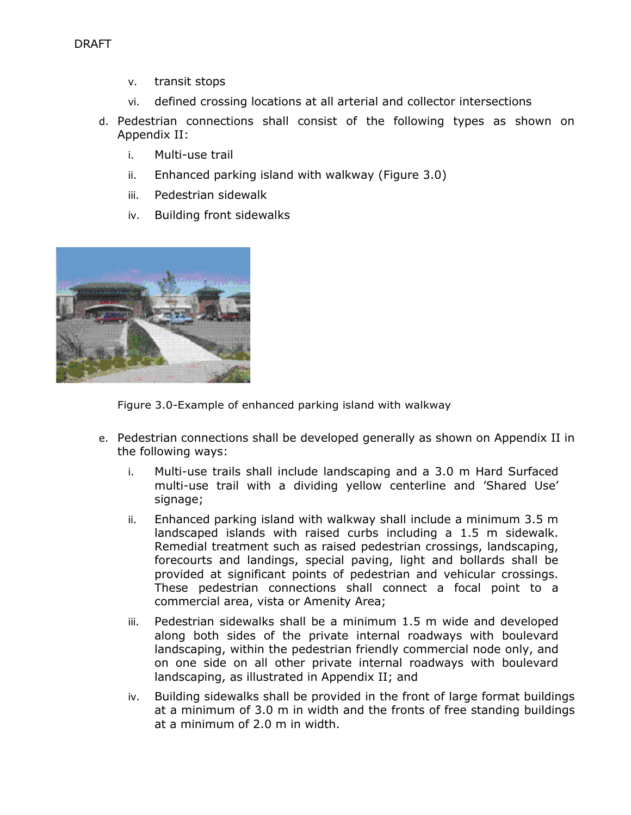- v. transit stops
- vi. defined crossing locations at all arterial and collector intersections
- d. Pedestrian connections shall consist of the following types as shown on Appendix II:
	- i. Multi-use trail
	- ii. Enhanced parking island with walkway (Figure 3.0)
	- iii. Pedestrian sidewalk
	- iv. Building front sidewalks



Figure 3.0-Example of enhanced parking island with walkway

- e. Pedestrian connections shall be developed generally as shown on Appendix II in the following ways:
	- i. Multi-use trails shall include landscaping and a 3.0 m Hard Surfaced multi-use trail with a dividing yellow centerline and 'Shared Use' signage;
	- ii. Enhanced parking island with walkway shall include a minimum 3.5 m landscaped islands with raised curbs including a 1.5 m sidewalk. Remedial treatment such as raised pedestrian crossings, landscaping, forecourts and landings, special paving, light and bollards shall be provided at significant points of pedestrian and vehicular crossings. These pedestrian connections shall connect a focal point to a commercial area, vista or Amenity Area;
	- iii. Pedestrian sidewalks shall be a minimum 1.5 m wide and developed along both sides of the private internal roadways with boulevard landscaping, within the pedestrian friendly commercial node only, and on one side on all other private internal roadways with boulevard landscaping, as illustrated in Appendix II; and
	- iv. Building sidewalks shall be provided in the front of large format buildings at a minimum of 3.0 m in width and the fronts of free standing buildings at a minimum of 2.0 m in width.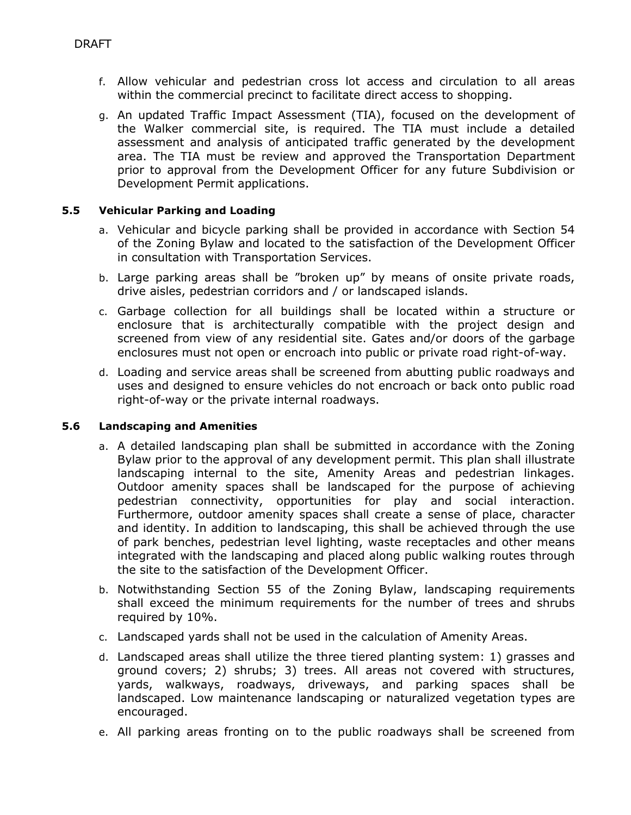- f. Allow vehicular and pedestrian cross lot access and circulation to all areas within the commercial precinct to facilitate direct access to shopping.
- g. An updated Traffic Impact Assessment (TIA), focused on the development of the Walker commercial site, is required. The TIA must include a detailed assessment and analysis of anticipated traffic generated by the development area. The TIA must be review and approved the Transportation Department prior to approval from the Development Officer for any future Subdivision or Development Permit applications.

#### **5.5 Vehicular Parking and Loading**

- a. Vehicular and bicycle parking shall be provided in accordance with Section 54 of the Zoning Bylaw and located to the satisfaction of the Development Officer in consultation with Transportation Services.
- b. Large parking areas shall be "broken up" by means of onsite private roads, drive aisles, pedestrian corridors and / or landscaped islands.
- c. Garbage collection for all buildings shall be located within a structure or enclosure that is architecturally compatible with the project design and screened from view of any residential site. Gates and/or doors of the garbage enclosures must not open or encroach into public or private road right-of-way.
- d. Loading and service areas shall be screened from abutting public roadways and uses and designed to ensure vehicles do not encroach or back onto public road right-of-way or the private internal roadways.

#### **5.6 Landscaping and Amenities**

- a. A detailed landscaping plan shall be submitted in accordance with the Zoning Bylaw prior to the approval of any development permit. This plan shall illustrate landscaping internal to the site, Amenity Areas and pedestrian linkages. Outdoor amenity spaces shall be landscaped for the purpose of achieving pedestrian connectivity, opportunities for play and social interaction. Furthermore, outdoor amenity spaces shall create a sense of place, character and identity. In addition to landscaping, this shall be achieved through the use of park benches, pedestrian level lighting, waste receptacles and other means integrated with the landscaping and placed along public walking routes through the site to the satisfaction of the Development Officer.
- b. Notwithstanding Section 55 of the Zoning Bylaw, landscaping requirements shall exceed the minimum requirements for the number of trees and shrubs required by 10%.
- c. Landscaped yards shall not be used in the calculation of Amenity Areas.
- d. Landscaped areas shall utilize the three tiered planting system: 1) grasses and ground covers; 2) shrubs; 3) trees. All areas not covered with structures, yards, walkways, roadways, driveways, and parking spaces shall be landscaped. Low maintenance landscaping or naturalized vegetation types are encouraged.
- e. All parking areas fronting on to the public roadways shall be screened from